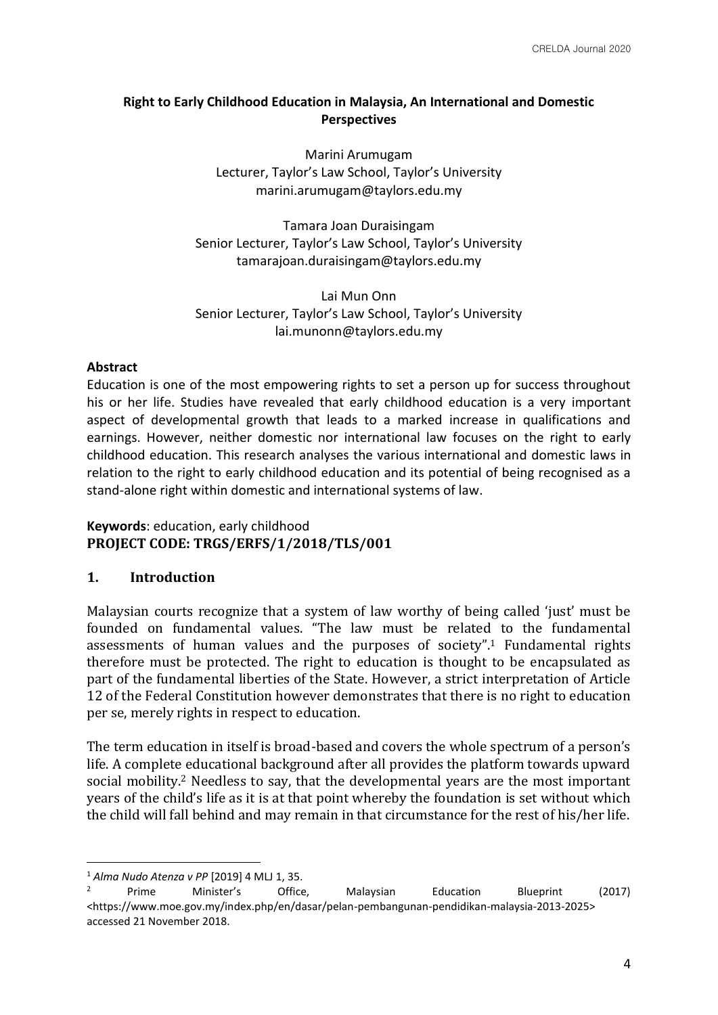# **Right to Early Childhood Education in Malaysia, An International and Domestic Perspectives**

Marini Arumugam Lecturer, Taylor's Law School, Taylor's University marini.arumugam@taylors.edu.my

Tamara Joan Duraisingam Senior Lecturer, Taylor's Law School, Taylor's University tamarajoan.duraisingam@taylors.edu.my

Lai Mun Onn Senior Lecturer, Taylor's Law School, Taylor's University lai.munonn@taylors.edu.my

#### **Abstract**

Education is one of the most empowering rights to set a person up for success throughout his or her life. Studies have revealed that early childhood education is a very important aspect of developmental growth that leads to a marked increase in qualifications and earnings. However, neither domestic nor international law focuses on the right to early childhood education. This research analyses the various international and domestic laws in relation to the right to early childhood education and its potential of being recognised as a stand-alone right within domestic and international systems of law.

### **Keywords**: education, early childhood **PROJECT CODE: TRGS/ERFS/1/2018/TLS/001**

### **1. Introduction**

Malaysian courts recognize that a system of law worthy of being called 'just' must be founded on fundamental values. "The law must be related to the fundamental assessments of human values and the purposes of society".<sup>1</sup> Fundamental rights therefore must be protected. The right to education is thought to be encapsulated as part of the fundamental liberties of the State. However, a strict interpretation of Article 12 of the Federal Constitution however demonstrates that there is no right to education per se, merely rights in respect to education.

The term education in itself is broad-based and covers the whole spectrum of a person's life. A complete educational background after all provides the platform towards upward social mobility.<sup>2</sup> Needless to say, that the developmental years are the most important years of the child's life as it is at that point whereby the foundation is set without which the child will fall behind and may remain in that circumstance for the rest of his/her life.

<sup>&</sup>lt;sup>1</sup> *Alma Nudo Atenza v PP* [2019] 4 MLJ 1, 35.

<sup>&</sup>lt;sup>2</sup> Prime Minister's Office, Malaysian Education Blueprint (2017) <https://www.moe.gov.my/index.php/en/dasar/pelan-pembangunan-pendidikan-malaysia-2013-2025> accessed 21 November 2018.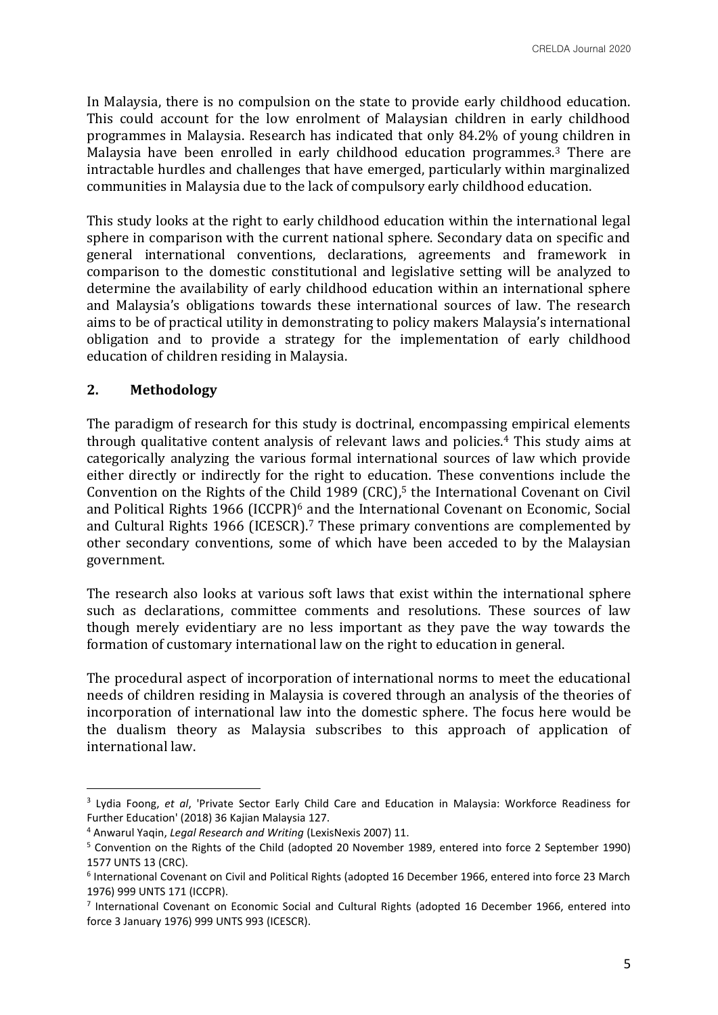In Malaysia, there is no compulsion on the state to provide early childhood education. This could account for the low enrolment of Malaysian children in early childhood programmes in Malaysia. Research has indicated that only 84.2% of young children in Malaysia have been enrolled in early childhood education programmes.<sup>3</sup> There are intractable hurdles and challenges that have emerged, particularly within marginalized communities in Malaysia due to the lack of compulsory early childhood education.

This study looks at the right to early childhood education within the international legal sphere in comparison with the current national sphere. Secondary data on specific and general international conventions, declarations, agreements and framework in comparison to the domestic constitutional and legislative setting will be analyzed to determine the availability of early childhood education within an international sphere and Malaysia's obligations towards these international sources of law. The research aims to be of practical utility in demonstrating to policy makers Malaysia's international obligation and to provide a strategy for the implementation of early childhood education of children residing in Malaysia.

# **2. Methodology**

The paradigm of research for this study is doctrinal, encompassing empirical elements through qualitative content analysis of relevant laws and policies.<sup>4</sup> This study aims at categorically analyzing the various formal international sources of law which provide either directly or indirectly for the right to education. These conventions include the Convention on the Rights of the Child 1989 (CRC), $5$  the International Covenant on Civil and Political Rights 1966 (ICCPR)<sup>6</sup> and the International Covenant on Economic, Social and Cultural Rights 1966 (ICESCR).<sup>7</sup> These primary conventions are complemented by other secondary conventions, some of which have been acceded to by the Malaysian government.

The research also looks at various soft laws that exist within the international sphere such as declarations, committee comments and resolutions. These sources of law though merely evidentiary are no less important as they pave the way towards the formation of customary international law on the right to education in general.

The procedural aspect of incorporation of international norms to meet the educational needs of children residing in Malaysia is covered through an analysis of the theories of incorporation of international law into the domestic sphere. The focus here would be the dualism theory as Malaysia subscribes to this approach of application of international law.

<sup>3</sup> Lydia Foong, *et al*, 'Private Sector Early Child Care and Education in Malaysia: Workforce Readiness for Further Education' (2018) 36 Kajian Malaysia 127.

<sup>4</sup> Anwarul Yaqin, *Legal Research and Writing* (LexisNexis 2007) 11.

<sup>5</sup> Convention on the Rights of the Child (adopted 20 November 1989, entered into force 2 September 1990) 1577 UNTS 13 (CRC).

<sup>6</sup> International Covenant on Civil and Political Rights (adopted 16 December 1966, entered into force 23 March 1976) 999 UNTS 171 (ICCPR).

<sup>&</sup>lt;sup>7</sup> International Covenant on Economic Social and Cultural Rights (adopted 16 December 1966, entered into force 3 January 1976) 999 UNTS 993 (ICESCR).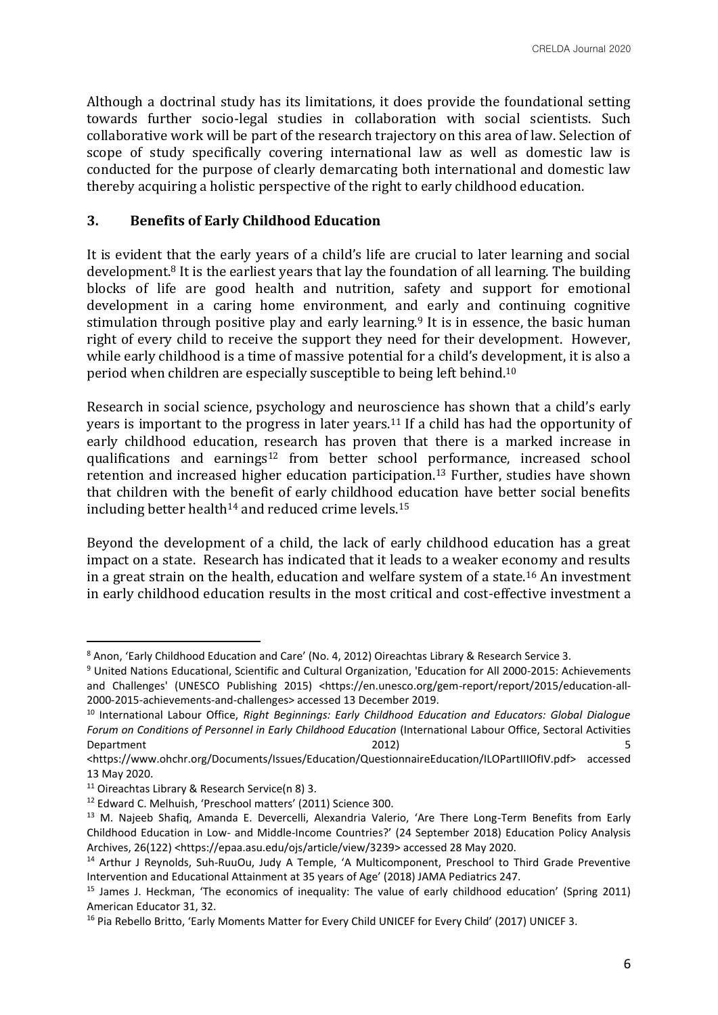Although a doctrinal study has its limitations, it does provide the foundational setting towards further socio-legal studies in collaboration with social scientists. Such collaborative work will be part of the research trajectory on this area of law. Selection of scope of study specifically covering international law as well as domestic law is conducted for the purpose of clearly demarcating both international and domestic law thereby acquiring a holistic perspective of the right to early childhood education.

#### **3. Benefits of Early Childhood Education**

It is evident that the early years of a child's life are crucial to later learning and social development.<sup>8</sup> It is the earliest years that lay the foundation of all learning. The building blocks of life are good health and nutrition, safety and support for emotional development in a caring home environment, and early and continuing cognitive stimulation through positive play and early learning.<sup>9</sup> It is in essence, the basic human right of every child to receive the support they need for their development. However, while early childhood is a time of massive potential for a child's development, it is also a period when children are especially susceptible to being left behind.<sup>10</sup>

Research in social science, psychology and neuroscience has shown that a child's early years is important to the progress in later years.<sup>11</sup> If a child has had the opportunity of early childhood education, research has proven that there is a marked increase in qualifications and earnings<sup>12</sup> from better school performance, increased school retention and increased higher education participation.<sup>13</sup> Further, studies have shown that children with the benefit of early childhood education have better social benefits including better health<sup>14</sup> and reduced crime levels.<sup>15</sup>

Beyond the development of a child, the lack of early childhood education has a great impact on a state. Research has indicated that it leads to a weaker economy and results in a great strain on the health, education and welfare system of a state.<sup>16</sup> An investment in early childhood education results in the most critical and cost-effective investment a

<sup>8</sup> Anon, 'Early Childhood Education and Care' (No. 4, 2012) Oireachtas Library & Research Service 3.

<sup>9</sup> United Nations Educational, Scientific and Cultural Organization, 'Education for All 2000-2015: Achievements and Challenges' (UNESCO Publishing 2015) <https://en.unesco.org/gem-report/report/2015/education-all-2000-2015-achievements-and-challenges> accessed 13 December 2019.

<sup>10</sup> International Labour Office, *Right Beginnings: Early Childhood Education and Educators: Global Dialogue Forum on Conditions of Personnel in Early Childhood Education* (International Labour Office, Sectoral Activities Department 2012) 5

<sup>&</sup>lt;https://www.ohchr.org/Documents/Issues/Education/QuestionnaireEducation/ILOPartIIIOfIV.pdf> accessed 13 May 2020.

<sup>11</sup> Oireachtas Library & Research Service(n 8) 3.

<sup>12</sup> Edward C. Melhuish, 'Preschool matters' (2011) Science 300.

<sup>&</sup>lt;sup>13</sup> M. Najeeb Shafiq, Amanda E. Devercelli, Alexandria Valerio, 'Are There Long-Term Benefits from Early Childhood Education in Low- and Middle-Income Countries?' (24 September 2018) Education Policy Analysis Archives, 26(122) <https://epaa.asu.edu/ojs/article/view/3239> accessed 28 May 2020.

<sup>&</sup>lt;sup>14</sup> Arthur J Reynolds, Suh-RuuOu, Judy A Temple, 'A Multicomponent, Preschool to Third Grade Preventive Intervention and Educational Attainment at 35 years of Age' (2018) JAMA Pediatrics 247.

<sup>15</sup> James J. Heckman, 'The economics of inequality: The value of early childhood education' (Spring 2011) American Educator 31, 32.

<sup>&</sup>lt;sup>16</sup> Pia Rebello Britto, 'Early Moments Matter for Every Child UNICEF for Every Child' (2017) UNICEF 3.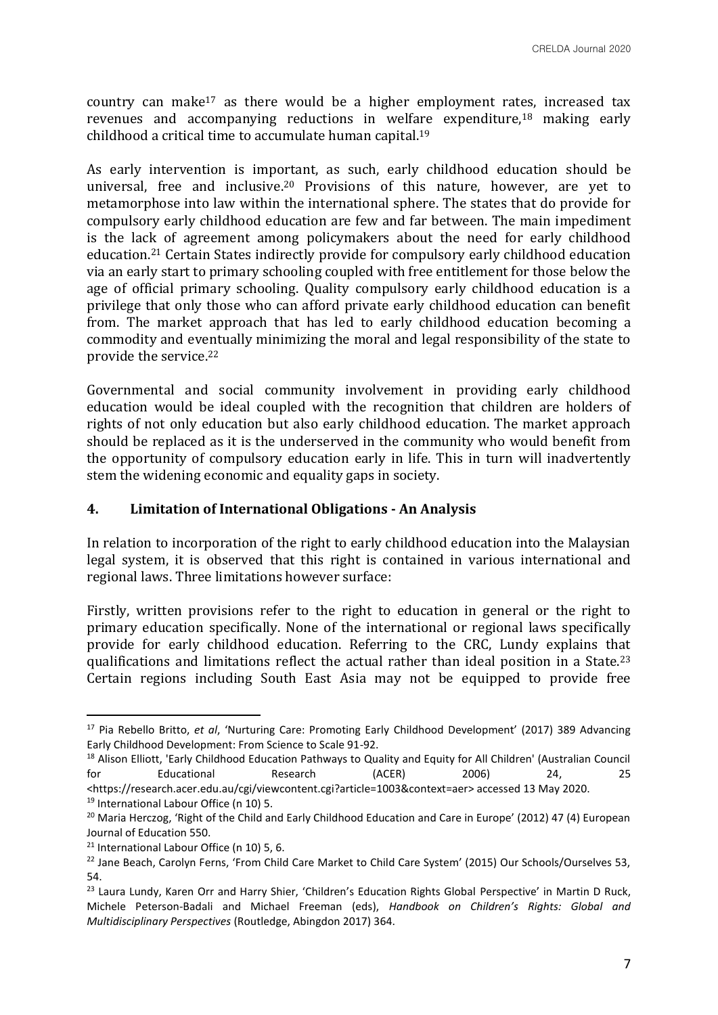country can make<sup>17</sup> as there would be a higher employment rates, increased tax revenues and accompanying reductions in welfare expenditure,<sup>18</sup> making early childhood a critical time to accumulate human capital.<sup>19</sup>

As early intervention is important, as such, early childhood education should be universal, free and inclusive.<sup>20</sup> Provisions of this nature, however, are yet to metamorphose into law within the international sphere. The states that do provide for compulsory early childhood education are few and far between. The main impediment is the lack of agreement among policymakers about the need for early childhood education.<sup>21</sup> Certain States indirectly provide for compulsory early childhood education via an early start to primary schooling coupled with free entitlement for those below the age of official primary schooling. Quality compulsory early childhood education is a privilege that only those who can afford private early childhood education can benefit from. The market approach that has led to early childhood education becoming a commodity and eventually minimizing the moral and legal responsibility of the state to provide the service.<sup>22</sup>

Governmental and social community involvement in providing early childhood education would be ideal coupled with the recognition that children are holders of rights of not only education but also early childhood education. The market approach should be replaced as it is the underserved in the community who would benefit from the opportunity of compulsory education early in life. This in turn will inadvertently stem the widening economic and equality gaps in society.

### **4. Limitation of International Obligations - An Analysis**

In relation to incorporation of the right to early childhood education into the Malaysian legal system, it is observed that this right is contained in various international and regional laws. Three limitations however surface:

Firstly, written provisions refer to the right to education in general or the right to primary education specifically. None of the international or regional laws specifically provide for early childhood education. Referring to the CRC, Lundy explains that qualifications and limitations reflect the actual rather than ideal position in a State.<sup>23</sup> Certain regions including South East Asia may not be equipped to provide free

<sup>17</sup> Pia Rebello Britto, *et al*, 'Nurturing Care: Promoting Early Childhood Development' (2017) 389 Advancing Early Childhood Development: From Science to Scale 91-92.

<sup>&</sup>lt;sup>18</sup> Alison Elliott, 'Early Childhood Education Pathways to Quality and Equity for All Children' (Australian Council for Educational Research (ACER) 2006) 24, 25 <https://research.acer.edu.au/cgi/viewcontent.cgi?article=1003&context=aer> accessed 13 May 2020.

<sup>&</sup>lt;sup>19</sup> International Labour Office (n 10) 5.

<sup>&</sup>lt;sup>20</sup> Maria Herczog, 'Right of the Child and Early Childhood Education and Care in Europe' (2012) 47 (4) European Journal of Education 550.

<sup>&</sup>lt;sup>21</sup> International Labour Office (n 10) 5, 6.

<sup>&</sup>lt;sup>22</sup> Jane Beach, Carolyn Ferns, 'From Child Care Market to Child Care System' (2015) Our Schools/Ourselves 53, 54.

<sup>&</sup>lt;sup>23</sup> Laura Lundy, Karen Orr and Harry Shier, 'Children's Education Rights Global Perspective' in Martin D Ruck, Michele Peterson-Badali and Michael Freeman (eds), *Handbook on Children's Rights: Global and Multidisciplinary Perspectives* (Routledge, Abingdon 2017) 364.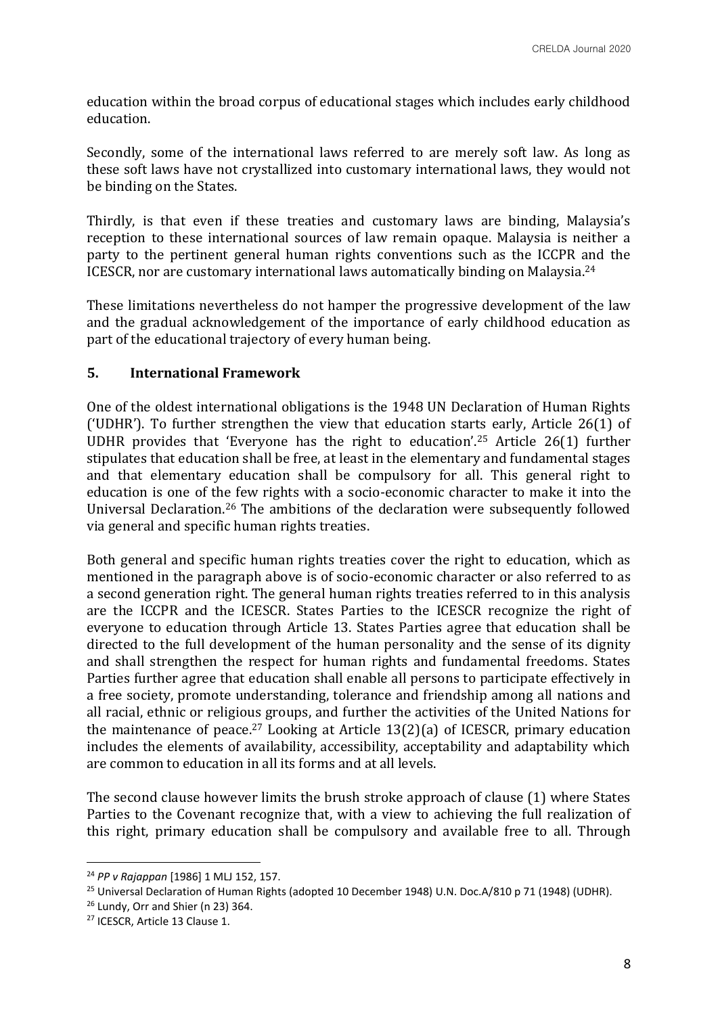education within the broad corpus of educational stages which includes early childhood education.

Secondly, some of the international laws referred to are merely soft law. As long as these soft laws have not crystallized into customary international laws, they would not be binding on the States.

Thirdly, is that even if these treaties and customary laws are binding, Malaysia's reception to these international sources of law remain opaque. Malaysia is neither a party to the pertinent general human rights conventions such as the ICCPR and the ICESCR, nor are customary international laws automatically binding on Malaysia.<sup>24</sup>

These limitations nevertheless do not hamper the progressive development of the law and the gradual acknowledgement of the importance of early childhood education as part of the educational trajectory of every human being.

### **5. International Framework**

One of the oldest international obligations is the 1948 UN Declaration of Human Rights ('UDHR'). To further strengthen the view that education starts early, Article 26(1) of UDHR provides that 'Everyone has the right to education'.<sup>25</sup> Article 26(1) further stipulates that education shall be free, at least in the elementary and fundamental stages and that elementary education shall be compulsory for all. This general right to education is one of the few rights with a socio-economic character to make it into the Universal Declaration.<sup>26</sup> The ambitions of the declaration were subsequently followed via general and specific human rights treaties.

Both general and specific human rights treaties cover the right to education, which as mentioned in the paragraph above is of socio-economic character or also referred to as a second generation right. The general human rights treaties referred to in this analysis are the ICCPR and the ICESCR. States Parties to the ICESCR recognize the right of everyone to education through Article 13. States Parties agree that education shall be directed to the full development of the human personality and the sense of its dignity and shall strengthen the respect for human rights and fundamental freedoms. States Parties further agree that education shall enable all persons to participate effectively in a free society, promote understanding, tolerance and friendship among all nations and all racial, ethnic or religious groups, and further the activities of the United Nations for the maintenance of peace.<sup>27</sup> Looking at Article 13(2)(a) of ICESCR, primary education includes the elements of availability, accessibility, acceptability and adaptability which are common to education in all its forms and at all levels.

The second clause however limits the brush stroke approach of clause (1) where States Parties to the Covenant recognize that, with a view to achieving the full realization of this right, primary education shall be compulsory and available free to all. Through

<sup>24</sup> *PP v Rajappan* [1986] 1 MLJ 152, 157.

<sup>&</sup>lt;sup>25</sup> Universal Declaration of Human Rights (adopted 10 December 1948) U.N. Doc.A/810 p 71 (1948) (UDHR).

 $26$  Lundy, Orr and Shier (n 23) 364.

<sup>27</sup> ICESCR, Article 13 Clause 1.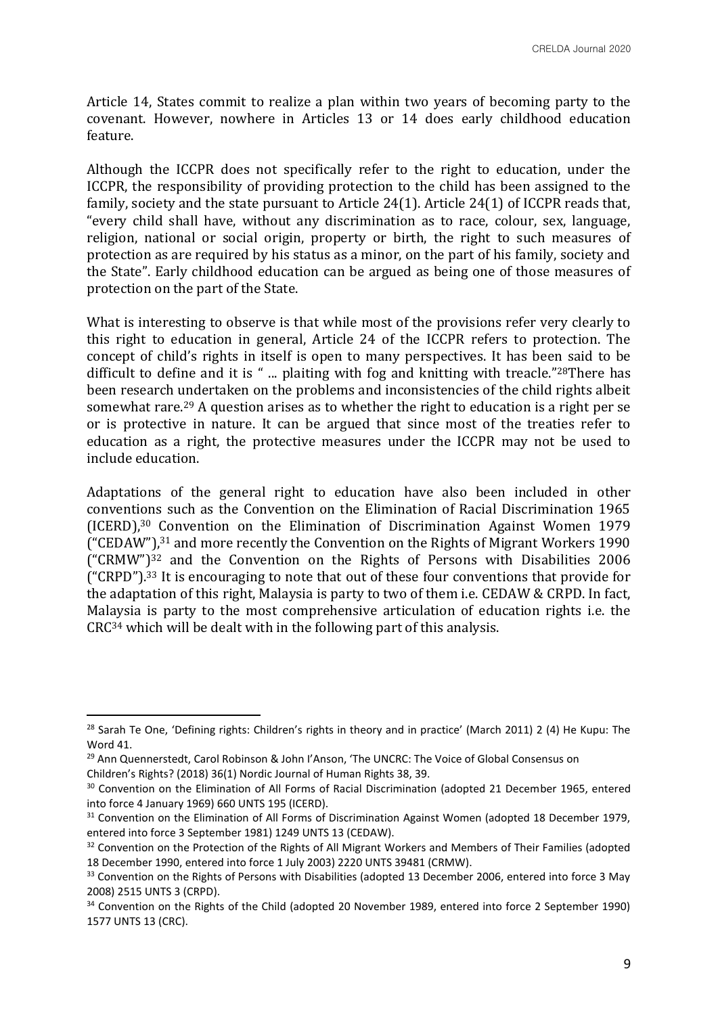Article 14, States commit to realize a plan within two years of becoming party to the covenant. However, nowhere in Articles 13 or 14 does early childhood education feature.

Although the ICCPR does not specifically refer to the right to education, under the ICCPR, the responsibility of providing protection to the child has been assigned to the family, society and the state pursuant to Article 24(1). Article 24(1) of ICCPR reads that, "every child shall have, without any discrimination as to race, colour, sex, language, religion, national or social origin, property or birth, the right to such measures of protection as are required by his status as a minor, on the part of his family, society and the State". Early childhood education can be argued as being one of those measures of protection on the part of the State.

What is interesting to observe is that while most of the provisions refer very clearly to this right to education in general, Article 24 of the ICCPR refers to protection. The concept of child's rights in itself is open to many perspectives. It has been said to be difficult to define and it is " ... plaiting with fog and knitting with treacle."<sup>28</sup>There has been research undertaken on the problems and inconsistencies of the child rights albeit somewhat rare.<sup>29</sup> A question arises as to whether the right to education is a right per se or is protective in nature. It can be argued that since most of the treaties refer to education as a right, the protective measures under the ICCPR may not be used to include education.

Adaptations of the general right to education have also been included in other conventions such as the Convention on the Elimination of Racial Discrimination 1965 (ICERD),<sup>30</sup> Convention on the Elimination of Discrimination Against Women 1979 ("CEDAW"),<sup>31</sup> and more recently the Convention on the Rights of Migrant Workers 1990 ("CRMW")<sup>32</sup> and the Convention on the Rights of Persons with Disabilities 2006  $($ "CRPD").<sup>33</sup> It is encouraging to note that out of these four conventions that provide for the adaptation of this right, Malaysia is party to two of them i.e. CEDAW & CRPD. In fact, Malaysia is party to the most comprehensive articulation of education rights i.e. the CRC<sup>34</sup> which will be dealt with in the following part of this analysis.

Children's Rights? (2018) 36(1) Nordic Journal of Human Rights 38, 39.

<sup>&</sup>lt;sup>28</sup> Sarah Te One, 'Defining rights: Children's rights in theory and in practice' (March 2011) 2 (4) He Kupu: The Word 41.

<sup>&</sup>lt;sup>29</sup> Ann Quennerstedt, Carol Robinson & John I'Anson, 'The UNCRC: The Voice of Global Consensus on

<sup>&</sup>lt;sup>30</sup> Convention on the Elimination of All Forms of Racial Discrimination (adopted 21 December 1965, entered into force 4 January 1969) 660 UNTS 195 (ICERD).

<sup>&</sup>lt;sup>31</sup> Convention on the Elimination of All Forms of Discrimination Against Women (adopted 18 December 1979, entered into force 3 September 1981) 1249 UNTS 13 (CEDAW).

<sup>&</sup>lt;sup>32</sup> Convention on the Protection of the Rights of All Migrant Workers and Members of Their Families (adopted 18 December 1990, entered into force 1 July 2003) 2220 UNTS 39481 (CRMW).

<sup>&</sup>lt;sup>33</sup> Convention on the Rights of Persons with Disabilities (adopted 13 December 2006, entered into force 3 May 2008) 2515 UNTS 3 (CRPD).

<sup>34</sup> Convention on the Rights of the Child (adopted 20 November 1989, entered into force 2 September 1990) 1577 UNTS 13 (CRC).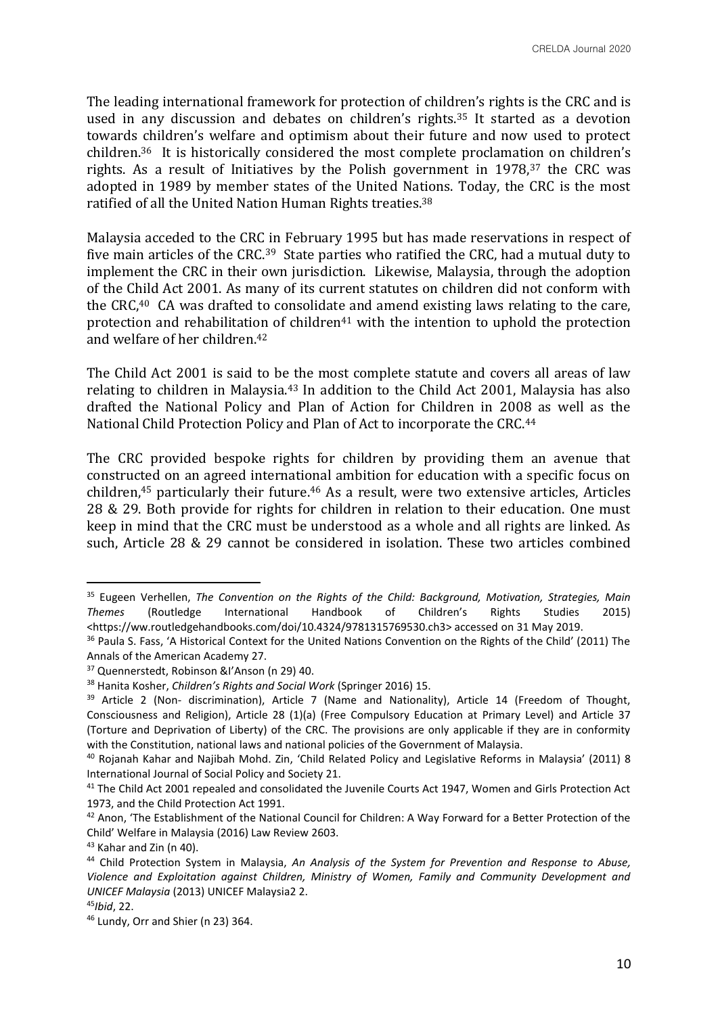The leading international framework for protection of children's rights is the CRC and is used in any discussion and debates on children's rights.<sup>35</sup> It started as a devotion towards children's welfare and optimism about their future and now used to protect children.36 It is historically considered the most complete proclamation on children's rights. As a result of Initiatives by the Polish government in 1978,<sup>37</sup> the CRC was adopted in 1989 by member states of the United Nations. Today, the CRC is the most ratified of all the United Nation Human Rights treaties.<sup>38</sup>

Malaysia acceded to the CRC in February 1995 but has made reservations in respect of five main articles of the CRC.39 State parties who ratified the CRC, had a mutual duty to implement the CRC in their own jurisdiction. Likewise, Malaysia, through the adoption of the Child Act 2001. As many of its current statutes on children did not conform with the CRC,<sup>40</sup> CA was drafted to consolidate and amend existing laws relating to the care, protection and rehabilitation of children<sup>41</sup> with the intention to uphold the protection and welfare of her children.<sup>42</sup>

The Child Act 2001 is said to be the most complete statute and covers all areas of law relating to children in Malaysia.<sup>43</sup> In addition to the Child Act 2001, Malaysia has also drafted the National Policy and Plan of Action for Children in 2008 as well as the National Child Protection Policy and Plan of Act to incorporate the CRC.<sup>44</sup>

The CRC provided bespoke rights for children by providing them an avenue that constructed on an agreed international ambition for education with a specific focus on children,<sup>45</sup> particularly their future.<sup>46</sup> As a result, were two extensive articles, Articles 28 & 29. Both provide for rights for children in relation to their education. One must keep in mind that the CRC must be understood as a whole and all rights are linked. As such, Article 28 & 29 cannot be considered in isolation. These two articles combined

<sup>35</sup> Eugeen Verhellen, *The Convention on the Rights of the Child: Background, Motivation, Strategies, Main Themes* (Routledge International Handbook of Children's Rights Studies 2015) <https://ww.routledgehandbooks.com/doi/10.4324/9781315769530.ch3> accessed on 31 May 2019.

<sup>&</sup>lt;sup>36</sup> Paula S. Fass, 'A Historical Context for the United Nations Convention on the Rights of the Child' (2011) The Annals of the American Academy 27.

<sup>37</sup> Quennerstedt, Robinson &I'Anson (n 29) 40.

<sup>38</sup> Hanita Kosher, *Children's Rights and Social Work* (Springer 2016) 15.

<sup>&</sup>lt;sup>39</sup> Article 2 (Non- discrimination), Article 7 (Name and Nationality), Article 14 (Freedom of Thought, Consciousness and Religion), Article 28 (1)(a) (Free Compulsory Education at Primary Level) and Article 37 (Torture and Deprivation of Liberty) of the CRC. The provisions are only applicable if they are in conformity with the Constitution, national laws and national policies of the Government of Malaysia.

<sup>40</sup> Rojanah Kahar and Najibah Mohd. Zin, 'Child Related Policy and Legislative Reforms in Malaysia' (2011) 8 International Journal of Social Policy and Society 21.

<sup>&</sup>lt;sup>41</sup> The Child Act 2001 repealed and consolidated the Juvenile Courts Act 1947, Women and Girls Protection Act 1973, and the Child Protection Act 1991.

<sup>42</sup> Anon, 'The Establishment of the National Council for Children: A Way Forward for a Better Protection of the Child' Welfare in Malaysia (2016) Law Review 2603.

<sup>43</sup> Kahar and Zin (n 40).

<sup>44</sup> Child Protection System in Malaysia, *An Analysis of the System for Prevention and Response to Abuse, Violence and Exploitation against Children, Ministry of Women, Family and Community Development and UNICEF Malaysia* (2013) UNICEF Malaysia2 2.

<sup>45</sup>*Ibid*, 22.

<sup>46</sup> Lundy, Orr and Shier (n 23) 364.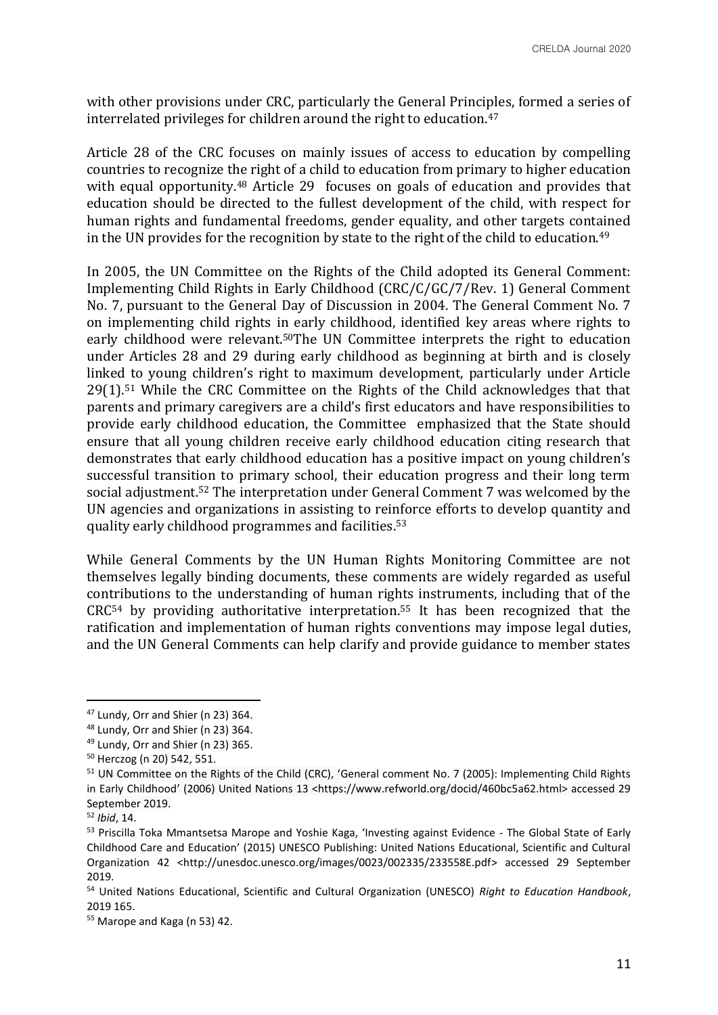with other provisions under CRC, particularly the General Principles, formed a series of interrelated privileges for children around the right to education.<sup>47</sup>

Article 28 of the CRC focuses on mainly issues of access to education by compelling countries to recognize the right of a child to education from primary to higher education with equal opportunity.<sup>48</sup> Article 29 focuses on goals of education and provides that education should be directed to the fullest development of the child, with respect for human rights and fundamental freedoms, gender equality, and other targets contained in the UN provides for the recognition by state to the right of the child to education.<sup>49</sup>

In 2005, the UN Committee on the Rights of the Child adopted its General Comment: Implementing Child Rights in Early Childhood (CRC/C/GC/7/Rev. 1) General Comment No. 7, pursuant to the General Day of Discussion in 2004. The General Comment No. 7 on implementing child rights in early childhood, identified key areas where rights to early childhood were relevant.50The UN Committee interprets the right to education under Articles 28 and 29 during early childhood as beginning at birth and is closely linked to young children's right to maximum development, particularly under Article 29(1).<sup>51</sup> While the CRC Committee on the Rights of the Child acknowledges that that parents and primary caregivers are a child's first educators and have responsibilities to provide early childhood education, the Committee emphasized that the State should ensure that all young children receive early childhood education citing research that demonstrates that early childhood education has a positive impact on young children's successful transition to primary school, their education progress and their long term social adjustment.<sup>52</sup> The interpretation under General Comment 7 was welcomed by the UN agencies and organizations in assisting to reinforce efforts to develop quantity and quality early childhood programmes and facilities.<sup>53</sup>

While General Comments by the UN Human Rights Monitoring Committee are not themselves legally binding documents, these comments are widely regarded as useful contributions to the understanding of human rights instruments, including that of the CRC<sup>54</sup> by providing authoritative interpretation.<sup>55</sup> It has been recognized that the ratification and implementation of human rights conventions may impose legal duties, and the UN General Comments can help clarify and provide guidance to member states

<sup>47</sup> Lundy, Orr and Shier (n 23) 364.

<sup>48</sup> Lundy, Orr and Shier (n 23) 364.

<sup>49</sup> Lundy, Orr and Shier (n 23) 365.

<sup>50</sup> Herczog (n 20) 542, 551.

<sup>&</sup>lt;sup>51</sup> UN Committee on the Rights of the Child (CRC), 'General comment No. 7 (2005): Implementing Child Rights in Early Childhood' (2006) United Nations 13 <https://www.refworld.org/docid/460bc5a62.html> accessed 29 September 2019.

<sup>52</sup> *Ibid*, 14.

<sup>&</sup>lt;sup>53</sup> Priscilla Toka Mmantsetsa Marope and Yoshie Kaga, 'Investing against Evidence - The Global State of Early Childhood Care and Education' (2015) UNESCO Publishing: United Nations Educational, Scientific and Cultural Organization 42 <http://unesdoc.unesco.org/images/0023/002335/233558E.pdf> accessed 29 September 2019.

<sup>54</sup> United Nations Educational, Scientific and Cultural Organization (UNESCO) *Right to Education Handbook*, 2019 165.

<sup>55</sup> Marope and Kaga (n 53) 42.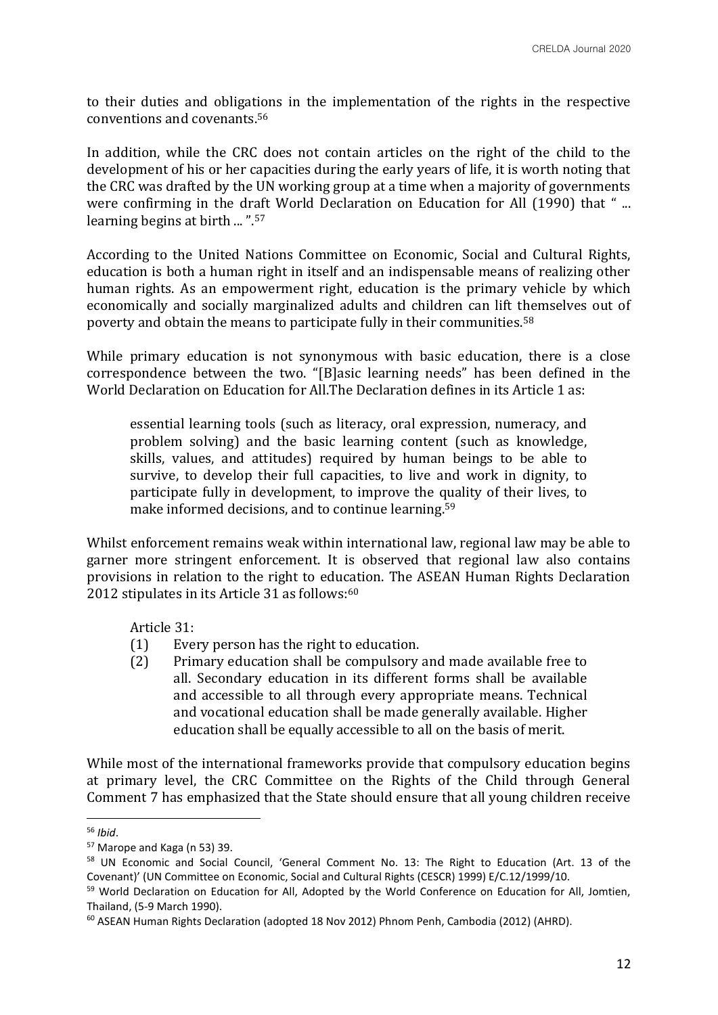to their duties and obligations in the implementation of the rights in the respective conventions and covenants.<sup>56</sup>

In addition, while the CRC does not contain articles on the right of the child to the development of his or her capacities during the early years of life, it is worth noting that the CRC was drafted by the UN working group at a time when a majority of governments were confirming in the draft World Declaration on Education for All (1990) that "... learning begins at birth ... ".<sup>57</sup>

According to the United Nations Committee on Economic, Social and Cultural Rights, education is both a human right in itself and an indispensable means of realizing other human rights. As an empowerment right, education is the primary vehicle by which economically and socially marginalized adults and children can lift themselves out of poverty and obtain the means to participate fully in their communities.<sup>58</sup>

While primary education is not synonymous with basic education, there is a close correspondence between the two. "[B]asic learning needs" has been defined in the World Declaration on Education for All.The Declaration defines in its Article 1 as:

essential learning tools (such as literacy, oral expression, numeracy, and problem solving) and the basic learning content (such as knowledge, skills, values, and attitudes) required by human beings to be able to survive, to develop their full capacities, to live and work in dignity, to participate fully in development, to improve the quality of their lives, to make informed decisions, and to continue learning.<sup>59</sup>

Whilst enforcement remains weak within international law, regional law may be able to garner more stringent enforcement. It is observed that regional law also contains provisions in relation to the right to education. The ASEAN Human Rights Declaration 2012 stipulates in its Article 31 as follows: $60$ 

Article 31:

- (1) Every person has the right to education.
- (2) Primary education shall be compulsory and made available free to all. Secondary education in its different forms shall be available and accessible to all through every appropriate means. Technical and vocational education shall be made generally available. Higher education shall be equally accessible to all on the basis of merit.

While most of the international frameworks provide that compulsory education begins at primary level, the CRC Committee on the Rights of the Child through General Comment 7 has emphasized that the State should ensure that all young children receive

<sup>56</sup> *Ibid*.

<sup>57</sup> Marope and Kaga (n 53) 39.

<sup>58</sup> UN Economic and Social Council, 'General Comment No. 13: The Right to Education (Art. 13 of the Covenant)' (UN Committee on Economic, Social and Cultural Rights (CESCR) 1999) E/C.12/1999/10.

<sup>&</sup>lt;sup>59</sup> World Declaration on Education for All, Adopted by the World Conference on Education for All, Jomtien, Thailand, (5-9 March 1990).

<sup>&</sup>lt;sup>60</sup> ASEAN Human Rights Declaration (adopted 18 Nov 2012) Phnom Penh, Cambodia (2012) (AHRD).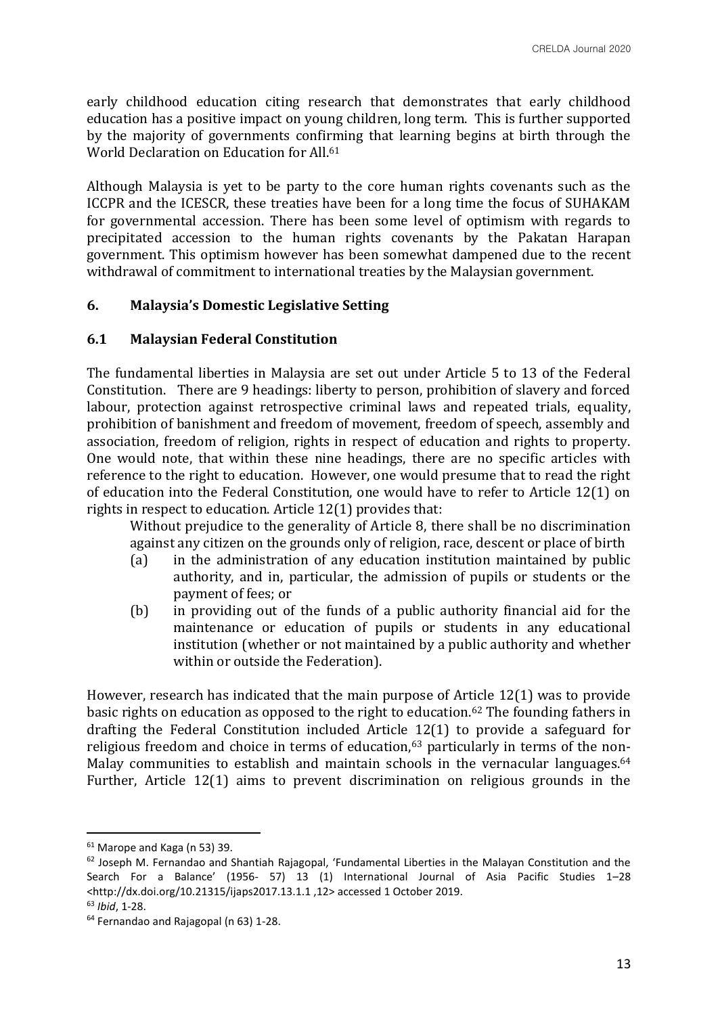early childhood education citing research that demonstrates that early childhood education has a positive impact on young children, long term. This is further supported by the majority of governments confirming that learning begins at birth through the World Declaration on Education for All.<sup>61</sup>

Although Malaysia is yet to be party to the core human rights covenants such as the ICCPR and the ICESCR, these treaties have been for a long time the focus of SUHAKAM for governmental accession. There has been some level of optimism with regards to precipitated accession to the human rights covenants by the Pakatan Harapan government. This optimism however has been somewhat dampened due to the recent withdrawal of commitment to international treaties by the Malaysian government.

### **6. Malaysia's Domestic Legislative Setting**

### **6.1 Malaysian Federal Constitution**

The fundamental liberties in Malaysia are set out under Article 5 to 13 of the Federal Constitution. There are 9 headings: liberty to person, prohibition of slavery and forced labour, protection against retrospective criminal laws and repeated trials, equality, prohibition of banishment and freedom of movement, freedom of speech, assembly and association, freedom of religion, rights in respect of education and rights to property. One would note, that within these nine headings, there are no specific articles with reference to the right to education. However, one would presume that to read the right of education into the Federal Constitution, one would have to refer to Article 12(1) on rights in respect to education. Article 12(1) provides that:

Without prejudice to the generality of Article 8, there shall be no discrimination against any citizen on the grounds only of religion, race, descent or place of birth

- (a) in the administration of any education institution maintained by public authority, and in, particular, the admission of pupils or students or the payment of fees; or
- (b) in providing out of the funds of a public authority financial aid for the maintenance or education of pupils or students in any educational institution (whether or not maintained by a public authority and whether within or outside the Federation).

However, research has indicated that the main purpose of Article 12(1) was to provide basic rights on education as opposed to the right to education.<sup>62</sup> The founding fathers in drafting the Federal Constitution included Article 12(1) to provide a safeguard for religious freedom and choice in terms of education,<sup>63</sup> particularly in terms of the non-Malay communities to establish and maintain schools in the vernacular languages.<sup>64</sup> Further, Article 12(1) aims to prevent discrimination on religious grounds in the

 $61$  Marope and Kaga (n 53) 39.

 $62$  Joseph M. Fernandao and Shantiah Rajagopal, 'Fundamental Liberties in the Malayan Constitution and the Search For a Balance' (1956- 57) 13 (1) International Journal of Asia Pacific Studies 1–28 <http://dx.doi.org/10.21315/ijaps2017.13.1.1 ,12> accessed 1 October 2019.

<sup>63</sup> *Ibid*, 1-28.

<sup>64</sup> Fernandao and Rajagopal (n 63) 1-28.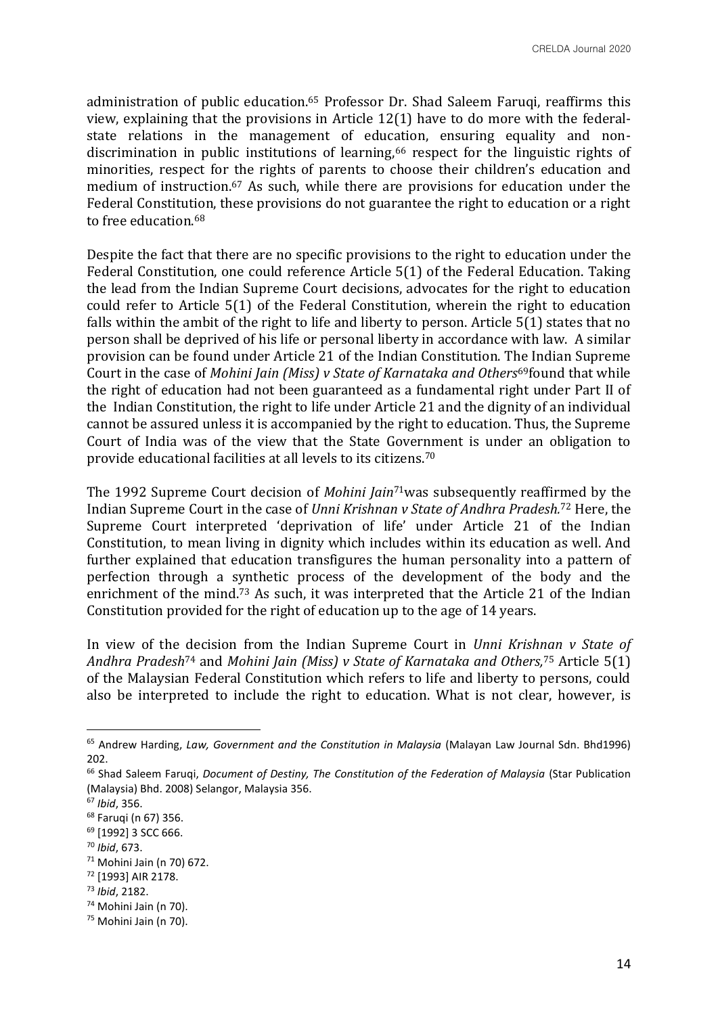administration of public education.<sup>65</sup> Professor Dr. Shad Saleem Faruqi, reaffirms this view, explaining that the provisions in Article 12(1) have to do more with the federalstate relations in the management of education, ensuring equality and nondiscrimination in public institutions of learning,<sup>66</sup> respect for the linguistic rights of minorities, respect for the rights of parents to choose their children's education and medium of instruction.<sup>67</sup> As such, while there are provisions for education under the Federal Constitution, these provisions do not guarantee the right to education or a right to free education 68

Despite the fact that there are no specific provisions to the right to education under the Federal Constitution, one could reference Article 5(1) of the Federal Education. Taking the lead from the Indian Supreme Court decisions, advocates for the right to education could refer to Article 5(1) of the Federal Constitution, wherein the right to education falls within the ambit of the right to life and liberty to person. Article 5(1) states that no person shall be deprived of his life or personal liberty in accordance with law. A similar provision can be found under Article 21 of the Indian Constitution. The Indian Supreme Court in the case of *Mohini Jain (Miss) v State of Karnataka and Others*69found that while the right of education had not been guaranteed as a fundamental right under Part II of the Indian Constitution, the right to life under Article 21 and the dignity of an individual cannot be assured unless it is accompanied by the right to education. Thus, the Supreme Court of India was of the view that the State Government is under an obligation to provide educational facilities at all levels to its citizens.<sup>70</sup>

The 1992 Supreme Court decision of *Mohini Jain*71was subsequently reaffirmed by the Indian Supreme Court in the case of *Unni Krishnan v State of Andhra Pradesh.*<sup>72</sup> Here, the Supreme Court interpreted 'deprivation of life' under Article 21 of the Indian Constitution, to mean living in dignity which includes within its education as well. And further explained that education transfigures the human personality into a pattern of perfection through a synthetic process of the development of the body and the enrichment of the mind.<sup>73</sup> As such, it was interpreted that the Article 21 of the Indian Constitution provided for the right of education up to the age of 14 years.

In view of the decision from the Indian Supreme Court in *Unni Krishnan v State of Andhra Pradesh*<sup>74</sup> and *Mohini Jain (Miss) v State of Karnataka and Others,*<sup>75</sup> Article 5(1) of the Malaysian Federal Constitution which refers to life and liberty to persons, could also be interpreted to include the right to education. What is not clear, however, is

<sup>65</sup> Andrew Harding, *Law, Government and the Constitution in Malaysia* (Malayan Law Journal Sdn. Bhd1996) 202.

<sup>66</sup> Shad Saleem Faruqi, *Document of Destiny, The Constitution of the Federation of Malaysia* (Star Publication (Malaysia) Bhd. 2008) Selangor, Malaysia 356.

<sup>67</sup> *Ibid*, 356.

<sup>68</sup> Faruqi (n 67) 356.

<sup>69</sup> [1992] 3 SCC 666.

<sup>70</sup> *Ibid*, 673.

<sup>71</sup> Mohini Jain (n 70) 672.

<sup>72</sup> [1993] AIR 2178.

<sup>73</sup> *Ibid*, 2182.

<sup>74</sup> Mohini Jain (n 70).

<sup>75</sup> Mohini Jain (n 70).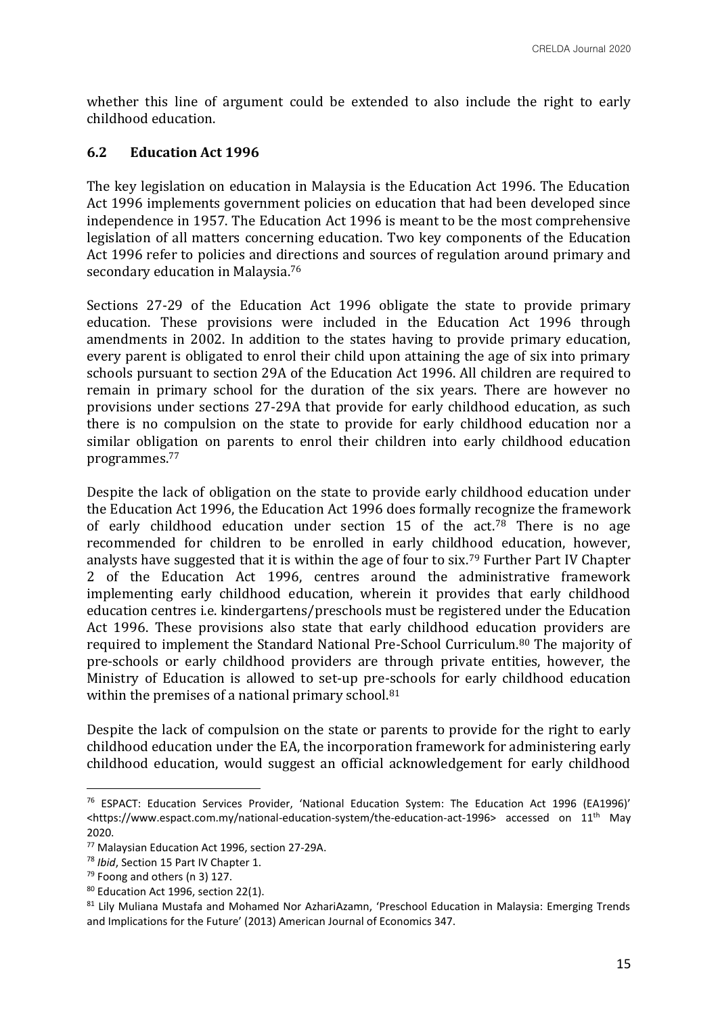whether this line of argument could be extended to also include the right to early childhood education.

# **6.2 Education Act 1996**

The key legislation on education in Malaysia is the Education Act 1996. The Education Act 1996 implements government policies on education that had been developed since independence in 1957. The Education Act 1996 is meant to be the most comprehensive legislation of all matters concerning education. Two key components of the Education Act 1996 refer to policies and directions and sources of regulation around primary and secondary education in Malaysia.<sup>76</sup>

Sections 27-29 of the Education Act 1996 obligate the state to provide primary education. These provisions were included in the Education Act 1996 through amendments in 2002. In addition to the states having to provide primary education, every parent is obligated to enrol their child upon attaining the age of six into primary schools pursuant to section 29A of the Education Act 1996. All children are required to remain in primary school for the duration of the six years. There are however no provisions under sections 27-29A that provide for early childhood education, as such there is no compulsion on the state to provide for early childhood education nor a similar obligation on parents to enrol their children into early childhood education programmes.<sup>77</sup>

Despite the lack of obligation on the state to provide early childhood education under the Education Act 1996, the Education Act 1996 does formally recognize the framework of early childhood education under section 15 of the  $act.^{78}$  There is no age recommended for children to be enrolled in early childhood education, however, analysts have suggested that it is within the age of four to six.<sup>79</sup> Further Part IV Chapter 2 of the Education Act 1996, centres around the administrative framework implementing early childhood education, wherein it provides that early childhood education centres i.e. kindergartens/preschools must be registered under the Education Act 1996. These provisions also state that early childhood education providers are required to implement the Standard National Pre-School Curriculum.<sup>80</sup> The majority of pre-schools or early childhood providers are through private entities, however, the Ministry of Education is allowed to set-up pre-schools for early childhood education within the premises of a national primary school.<sup>81</sup>

Despite the lack of compulsion on the state or parents to provide for the right to early childhood education under the EA, the incorporation framework for administering early childhood education, would suggest an official acknowledgement for early childhood

<sup>76</sup> ESPACT: Education Services Provider, 'National Education System: The Education Act 1996 (EA1996)'  $\lt$ https://www.espact.com.my/national-education-system/the-education-act-1996> accessed on 11<sup>th</sup> May 2020.

<sup>77</sup> Malaysian Education Act 1996, section 27-29A.

<sup>78</sup> *Ibid*, Section 15 Part IV Chapter 1.

 $79$  Foong and others (n 3) 127.

<sup>80</sup> Education Act 1996, section 22(1).

<sup>81</sup> Lily Muliana Mustafa and Mohamed Nor AzhariAzamn, 'Preschool Education in Malaysia: Emerging Trends and Implications for the Future' (2013) American Journal of Economics 347.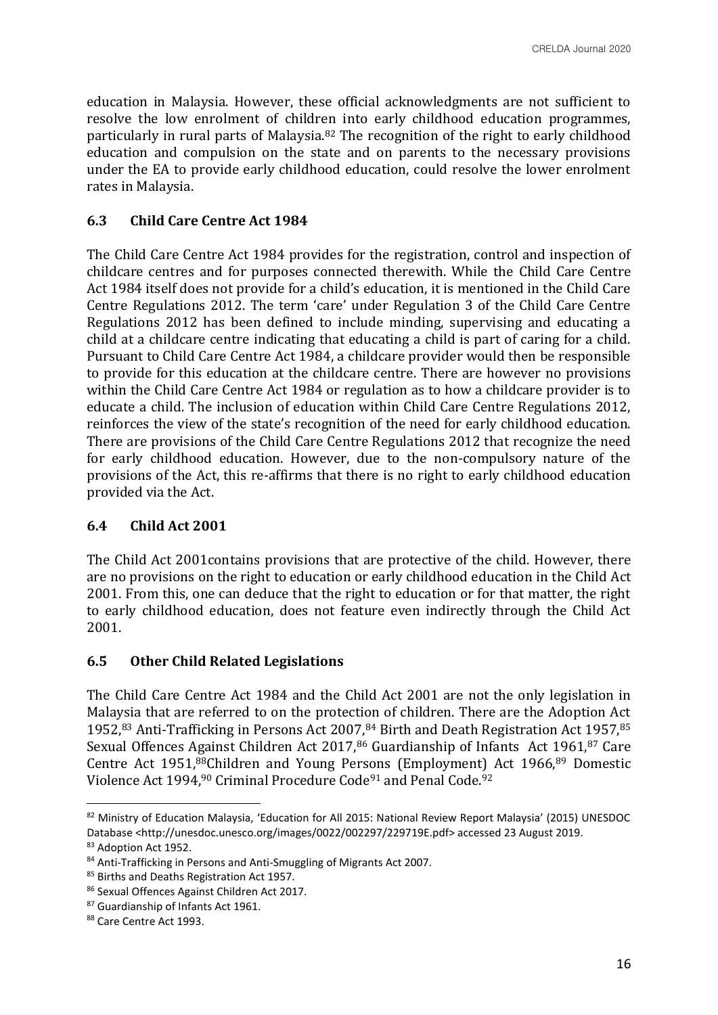education in Malaysia. However, these official acknowledgments are not sufficient to resolve the low enrolment of children into early childhood education programmes, particularly in rural parts of Malaysia.<sup>82</sup> The recognition of the right to early childhood education and compulsion on the state and on parents to the necessary provisions under the EA to provide early childhood education, could resolve the lower enrolment rates in Malaysia.

## **6.3 Child Care Centre Act 1984**

The Child Care Centre Act 1984 provides for the registration, control and inspection of childcare centres and for purposes connected therewith. While the Child Care Centre Act 1984 itself does not provide for a child's education, it is mentioned in the Child Care Centre Regulations 2012. The term 'care' under Regulation 3 of the Child Care Centre Regulations 2012 has been defined to include minding, supervising and educating a child at a childcare centre indicating that educating a child is part of caring for a child. Pursuant to Child Care Centre Act 1984, a childcare provider would then be responsible to provide for this education at the childcare centre. There are however no provisions within the Child Care Centre Act 1984 or regulation as to how a childcare provider is to educate a child. The inclusion of education within Child Care Centre Regulations 2012, reinforces the view of the state's recognition of the need for early childhood education. There are provisions of the Child Care Centre Regulations 2012 that recognize the need for early childhood education. However, due to the non-compulsory nature of the provisions of the Act, this re-affirms that there is no right to early childhood education provided via the Act.

### **6.4 Child Act 2001**

The Child Act 2001contains provisions that are protective of the child. However, there are no provisions on the right to education or early childhood education in the Child Act 2001. From this, one can deduce that the right to education or for that matter, the right to early childhood education, does not feature even indirectly through the Child Act 2001.

### **6.5 Other Child Related Legislations**

The Child Care Centre Act 1984 and the Child Act 2001 are not the only legislation in Malaysia that are referred to on the protection of children. There are the Adoption Act 1952,83 Anti-Trafficking in Persons Act 2007,84 Birth and Death Registration Act 1957,85 Sexual Offences Against Children Act 2017,<sup>86</sup> Guardianship of Infants Act 1961,<sup>87</sup> Care Centre Act 1951,88Children and Young Persons (Employment) Act 1966,<sup>89</sup> Domestic Violence Act 1994,<sup>90</sup> Criminal Procedure Code<sup>91</sup> and Penal Code.<sup>92</sup>

<sup>82</sup> Ministry of Education Malaysia, 'Education for All 2015: National Review Report Malaysia' (2015) UNESDOC Database <http://unesdoc.unesco.org/images/0022/002297/229719E.pdf> accessed 23 August 2019.

<sup>83</sup> Adoption Act 1952.

<sup>84</sup> Anti-Trafficking in Persons and Anti-Smuggling of Migrants Act 2007.

<sup>85</sup> Births and Deaths Registration Act 1957.

<sup>86</sup> Sexual Offences Against Children Act 2017.

<sup>87</sup> Guardianship of Infants Act 1961.

<sup>88</sup> Care Centre Act 1993.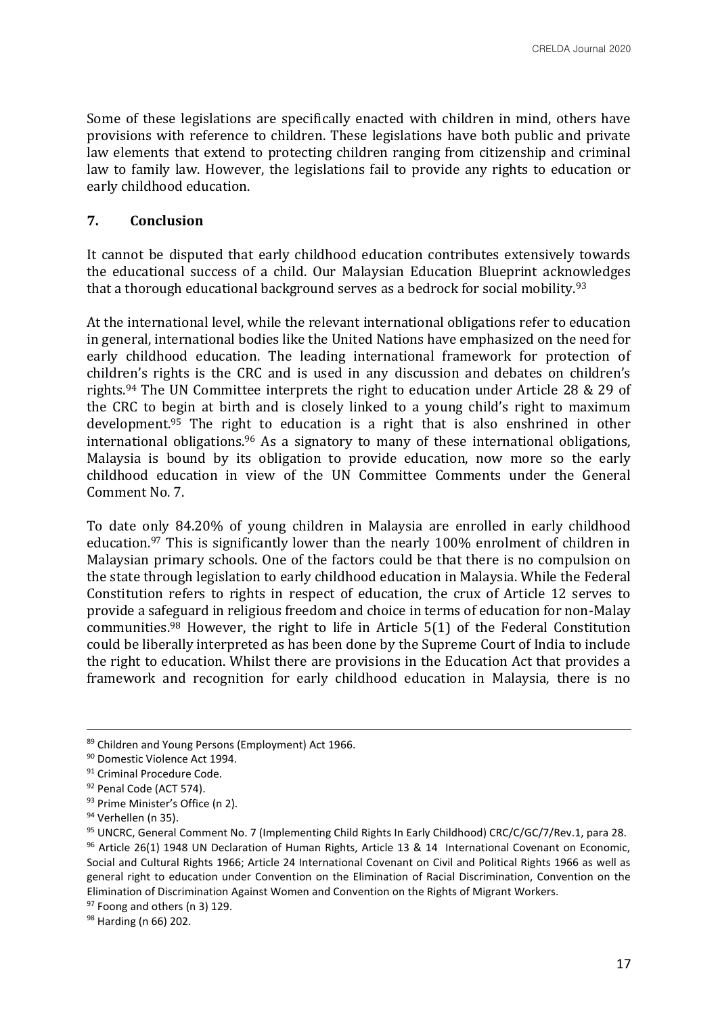Some of these legislations are specifically enacted with children in mind, others have provisions with reference to children. These legislations have both public and private law elements that extend to protecting children ranging from citizenship and criminal law to family law. However, the legislations fail to provide any rights to education or early childhood education.

#### **7. Conclusion**

It cannot be disputed that early childhood education contributes extensively towards the educational success of a child. Our Malaysian Education Blueprint acknowledges that a thorough educational background serves as a bedrock for social mobility.<sup>93</sup>

At the international level, while the relevant international obligations refer to education in general, international bodies like the United Nations have emphasized on the need for early childhood education. The leading international framework for protection of children's rights is the CRC and is used in any discussion and debates on children's rights.<sup>94</sup> The UN Committee interprets the right to education under Article 28 & 29 of the CRC to begin at birth and is closely linked to a young child's right to maximum development.<sup>95</sup> The right to education is a right that is also enshrined in other international obligations.<sup>96</sup> As a signatory to many of these international obligations, Malaysia is bound by its obligation to provide education, now more so the early childhood education in view of the UN Committee Comments under the General Comment No. 7.

To date only 84.20% of young children in Malaysia are enrolled in early childhood education.<sup>97</sup> This is significantly lower than the nearly 100% enrolment of children in Malaysian primary schools. One of the factors could be that there is no compulsion on the state through legislation to early childhood education in Malaysia. While the Federal Constitution refers to rights in respect of education, the crux of Article 12 serves to provide a safeguard in religious freedom and choice in terms of education for non-Malay communities.<sup>98</sup> However, the right to life in Article 5(1) of the Federal Constitution could be liberally interpreted as has been done by the Supreme Court of India to include the right to education. Whilst there are provisions in the Education Act that provides a framework and recognition for early childhood education in Malaysia, there is no

<sup>89</sup> Children and Young Persons (Employment) Act 1966.

<sup>90</sup> Domestic Violence Act 1994.

<sup>&</sup>lt;sup>91</sup> Criminal Procedure Code.

<sup>92</sup> Penal Code (ACT 574).

<sup>93</sup> Prime Minister's Office (n 2).

<sup>94</sup> Verhellen (n 35).

<sup>95</sup> UNCRC, General Comment No. 7 (Implementing Child Rights In Early Childhood) CRC/C/GC/7/Rev.1, para 28. 96 Article 26(1) 1948 UN Declaration of Human Rights, Article 13 & 14 International Covenant on Economic, Social and Cultural Rights 1966; Article 24 International Covenant on Civil and Political Rights 1966 as well as general right to education under Convention on the Elimination of Racial Discrimination, Convention on the Elimination of Discrimination Against Women and Convention on the Rights of Migrant Workers.

 $97$  Foong and others (n 3) 129.

<sup>98</sup> Harding (n 66) 202.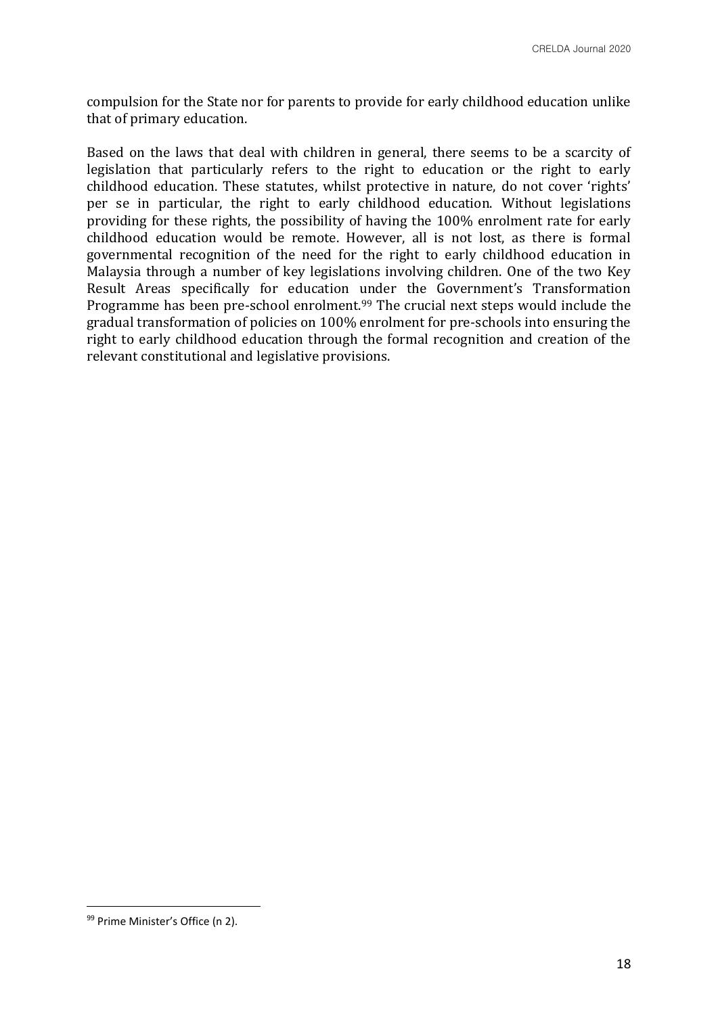compulsion for the State nor for parents to provide for early childhood education unlike that of primary education.

Based on the laws that deal with children in general, there seems to be a scarcity of legislation that particularly refers to the right to education or the right to early childhood education. These statutes, whilst protective in nature, do not cover 'rights' per se in particular, the right to early childhood education. Without legislations providing for these rights, the possibility of having the 100% enrolment rate for early childhood education would be remote. However, all is not lost, as there is formal governmental recognition of the need for the right to early childhood education in Malaysia through a number of key legislations involving children. One of the two Key Result Areas specifically for education under the Government's Transformation Programme has been pre-school enrolment.<sup>99</sup> The crucial next steps would include the gradual transformation of policies on 100% enrolment for pre-schools into ensuring the right to early childhood education through the formal recognition and creation of the relevant constitutional and legislative provisions.

<sup>99</sup> Prime Minister's Office (n 2).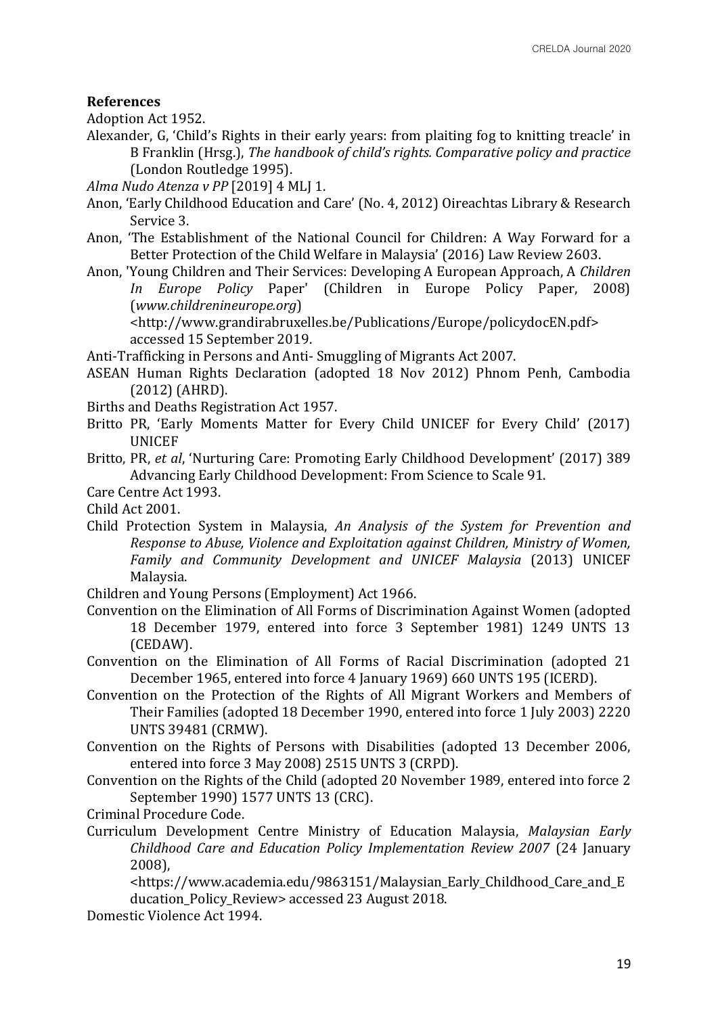#### **References**

Adoption Act 1952.

- Alexander, G, 'Child's Rights in their early years: from plaiting fog to knitting treacle' in B Franklin (Hrsg.), *The handbook of child's rights. Comparative policy and practice*  (London Routledge 1995).
- *Alma Nudo Atenza v PP* [2019] 4 MLJ 1.
- Anon, 'Early Childhood Education and Care' (No. 4, 2012) Oireachtas Library & Research Service 3.
- Anon, 'The Establishment of the National Council for Children: A Way Forward for a Better Protection of the Child Welfare in Malaysia' (2016) Law Review 2603.
- Anon, 'Young Children and Their Services: Developing A European Approach, A *Children In Europe Policy* Paper' (Children in Europe Policy Paper, 2008) (*www.childrenineurope.org*)

<http://www.grandirabruxelles.be/Publications/Europe/policydocEN.pdf> accessed 15 September 2019.

Anti-Trafficking in Persons and Anti- Smuggling of Migrants Act 2007.

- ASEAN Human Rights Declaration (adopted 18 Nov 2012) Phnom Penh, Cambodia (2012) (AHRD).
- Births and Deaths Registration Act 1957.
- Britto PR, 'Early Moments Matter for Every Child UNICEF for Every Child' (2017) UNICEF
- Britto, PR, *et al*, 'Nurturing Care: Promoting Early Childhood Development' (2017) 389 Advancing Early Childhood Development: From Science to Scale 91.
- Care Centre Act 1993.

Child Act 2001.

Child Protection System in Malaysia, *An Analysis of the System for Prevention and Response to Abuse, Violence and Exploitation against Children, Ministry of Women, Family and Community Development and UNICEF Malaysia* (2013) UNICEF Malaysia.

Children and Young Persons (Employment) Act 1966.

- Convention on the Elimination of All Forms of Discrimination Against Women (adopted 18 December 1979, entered into force 3 September 1981) 1249 UNTS 13 (CEDAW).
- Convention on the Elimination of All Forms of Racial Discrimination (adopted 21 December 1965, entered into force 4 January 1969) 660 UNTS 195 (ICERD).
- Convention on the Protection of the Rights of All Migrant Workers and Members of Their Families (adopted 18 December 1990, entered into force 1 July 2003) 2220 UNTS 39481 (CRMW).
- Convention on the Rights of Persons with Disabilities (adopted 13 December 2006, entered into force 3 May 2008) 2515 UNTS 3 (CRPD).
- Convention on the Rights of the Child (adopted 20 November 1989, entered into force 2 September 1990) 1577 UNTS 13 (CRC).
- Criminal Procedure Code.
- Curriculum Development Centre Ministry of Education Malaysia, *Malaysian Early Childhood Care and Education Policy Implementation Review 2007* (24 January 2008),

<https://www.academia.edu/9863151/Malaysian\_Early\_Childhood\_Care\_and\_E ducation\_Policy\_Review> accessed 23 August 2018.

Domestic Violence Act 1994.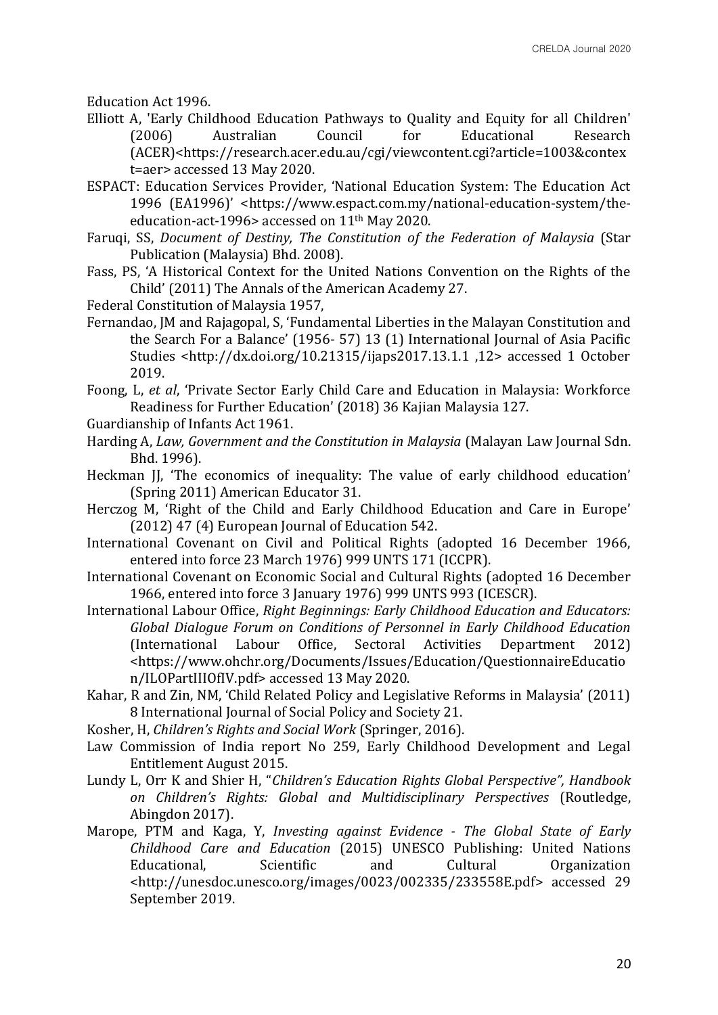Education Act 1996.

- Elliott A, 'Early Childhood Education Pathways to Quality and Equity for all Children' (2006) Australian Council for Educational Research (ACER)<https://research.acer.edu.au/cgi/viewcontent.cgi?article=1003&contex t=aer> accessed 13 May 2020.
- ESPACT: Education Services Provider, 'National Education System: The Education Act 1996 (EA1996)' <https://www.espact.com.my/national-education-system/theeducation-act-1996> accessed on 11th May 2020.
- Faruqi, SS, *Document of Destiny, The Constitution of the Federation of Malaysia* (Star Publication (Malaysia) Bhd. 2008).
- Fass, PS, 'A Historical Context for the United Nations Convention on the Rights of the Child' (2011) The Annals of the American Academy 27.
- Federal Constitution of Malaysia 1957,
- Fernandao, JM and Rajagopal, S, 'Fundamental Liberties in the Malayan Constitution and the Search For a Balance' (1956- 57) 13 (1) International Journal of Asia Pacific Studies <http://dx.doi.org/10.21315/ijaps2017.13.1.1 ,12> accessed 1 October 2019.
- Foong, L, *et al*, 'Private Sector Early Child Care and Education in Malaysia: Workforce Readiness for Further Education' (2018) 36 Kajian Malaysia 127.
- Guardianship of Infants Act 1961.
- Harding A, *Law, Government and the Constitution in Malaysia* (Malayan Law Journal Sdn. Bhd. 1996).
- Heckman JJ, 'The economics of inequality: The value of early childhood education' (Spring 2011) American Educator 31.
- Herczog M, 'Right of the Child and Early Childhood Education and Care in Europe' (2012) 47 (4) European Journal of Education 542.
- International Covenant on Civil and Political Rights (adopted 16 December 1966, entered into force 23 March 1976) 999 UNTS 171 (ICCPR).
- International Covenant on Economic Social and Cultural Rights (adopted 16 December 1966, entered into force 3 January 1976) 999 UNTS 993 (ICESCR).
- International Labour Office, *Right Beginnings: Early Childhood Education and Educators: Global Dialogue Forum on Conditions of Personnel in Early Childhood Education* (International Labour Office, Sectoral Activities Department 2012) <https://www.ohchr.org/Documents/Issues/Education/QuestionnaireEducatio n/ILOPartIIIOfIV.pdf> accessed 13 May 2020.
- Kahar, R and Zin, NM, 'Child Related Policy and Legislative Reforms in Malaysia' (2011) 8 International Journal of Social Policy and Society 21.
- Kosher, H, *Children's Rights and Social Work* (Springer, 2016).
- Law Commission of India report No 259, Early Childhood Development and Legal Entitlement August 2015.
- Lundy L, Orr K and Shier H, "*Children's Education Rights Global Perspective", Handbook on Children's Rights: Global and Multidisciplinary Perspectives* (Routledge, Abingdon 2017).
- Marope, PTM and Kaga, Y, *Investing against Evidence - The Global State of Early Childhood Care and Education* (2015) UNESCO Publishing: United Nations Educational, Scientific and Cultural Organization <http://unesdoc.unesco.org/images/0023/002335/233558E.pdf> accessed 29 September 2019.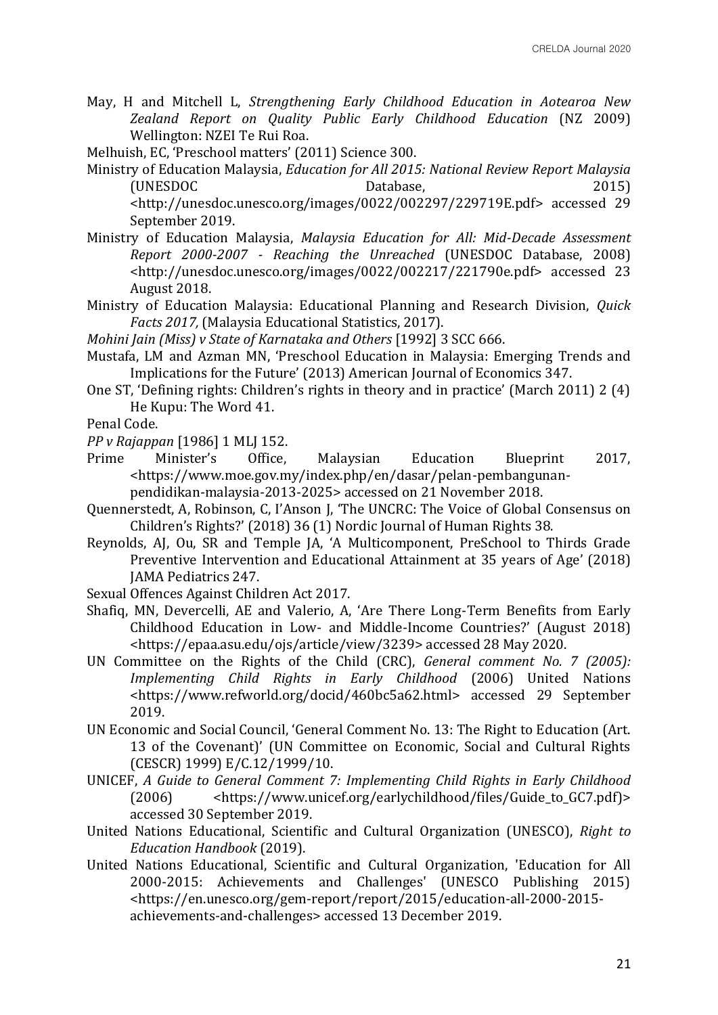May, H and Mitchell L, *Strengthening Early Childhood Education in Aotearoa New Zealand Report on Quality Public Early Childhood Education* (NZ 2009) Wellington: NZEI Te Rui Roa.

Melhuish, EC, 'Preschool matters' (2011) Science 300.

- Ministry of Education Malaysia, *Education for All 2015: National Review Report Malaysia*  (UNESDOC Database, 2015) <http://unesdoc.unesco.org/images/0022/002297/229719E.pdf> accessed 29 September 2019.
- Ministry of Education Malaysia, *Malaysia Education for All: Mid-Decade Assessment Report 2000-2007 - Reaching the Unreached* (UNESDOC Database, 2008) <http://unesdoc.unesco.org/images/0022/002217/221790e.pdf> accessed 23 August 2018.
- Ministry of Education Malaysia: Educational Planning and Research Division, *Quick Facts 2017,* (Malaysia Educational Statistics, 2017).

*Mohini Jain (Miss) v State of Karnataka and Others* [1992] 3 SCC 666.

- Mustafa, LM and Azman MN, 'Preschool Education in Malaysia: Emerging Trends and Implications for the Future' (2013) American Journal of Economics 347.
- One ST, 'Defining rights: Children's rights in theory and in practice' (March 2011) 2 (4) He Kupu: The Word 41.

Penal Code.

*PP v Rajappan* [1986] 1 MLJ 152.

- Prime Minister's Office, Malaysian Education Blueprint 2017, <https://www.moe.gov.my/index.php/en/dasar/pelan-pembangunan
	- pendidikan-malaysia-2013-2025> accessed on 21 November 2018.
- Quennerstedt, A, Robinson, C, I'Anson J, 'The UNCRC: The Voice of Global Consensus on Children's Rights?' (2018) 36 (1) Nordic Journal of Human Rights 38.
- Reynolds, AJ, Ou, SR and Temple JA, 'A Multicomponent, PreSchool to Thirds Grade Preventive Intervention and Educational Attainment at 35 years of Age' (2018) JAMA Pediatrics 247.

Sexual Offences Against Children Act 2017.

- Shafiq, MN, Devercelli, AE and Valerio, A, 'Are There Long-Term Benefits from Early Childhood Education in Low- and Middle-Income Countries?' (August 2018) <https://epaa.asu.edu/ojs/article/view/3239> accessed 28 May 2020.
- UN Committee on the Rights of the Child (CRC), *General comment No. 7 (2005): Implementing Child Rights in Early Childhood* (2006) United Nations <https://www.refworld.org/docid/460bc5a62.html> accessed 29 September 2019.
- UN Economic and Social Council, 'General Comment No. 13: The Right to Education (Art. 13 of the Covenant)' (UN Committee on Economic, Social and Cultural Rights (CESCR) 1999) E/C.12/1999/10.
- UNICEF, *A Guide to General Comment 7: Implementing Child Rights in Early Childhood*  (2006) <https://www.unicef.org/earlychildhood/files/Guide\_to\_GC7.pdf)> accessed 30 September 2019.
- United Nations Educational, Scientific and Cultural Organization (UNESCO), *Right to Education Handbook* (2019).
- United Nations Educational, Scientific and Cultural Organization, 'Education for All 2000-2015: Achievements and Challenges' (UNESCO Publishing 2015) <https://en.unesco.org/gem-report/report/2015/education-all-2000-2015 achievements-and-challenges> accessed 13 December 2019.